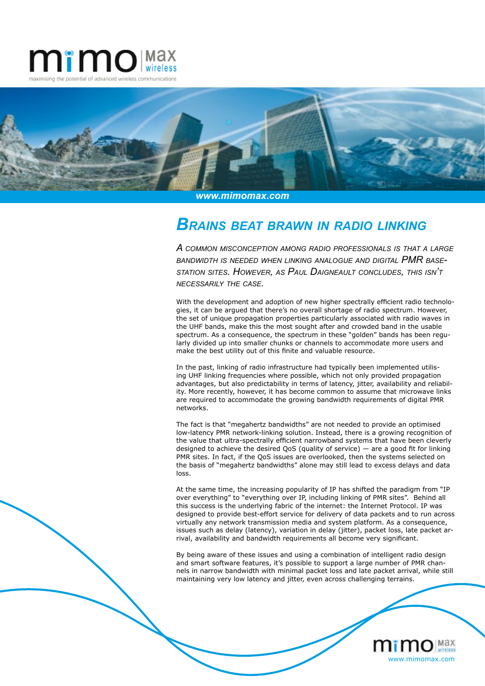



*www.mimomax.com*

## *Brains beat brawn in radio linking*

*A common misconception among radio professionals is that <sup>a</sup> large bandwidth is needed when linking analogue and digital PMR basestation sites. However, as Paul Daigneault concludes, this isn't necessarily the case.* 

With the development and adoption of new higher spectrally efficient radio technologies, it can be argued that there's no overall shortage of radio spectrum. However, the set of unique propagation properties particularly associated with radio waves in the UHF bands, make this the most sought after and crowded band in the usable spectrum. As a consequence, the spectrum in these "golden" bands has been regularly divided up into smaller chunks or channels to accommodate more users and make the best utility out of this finite and valuable resource.

In the past, linking of radio infrastructure had typically been implemented utilising UHF linking frequencies where possible, which not only provided propagation advantages, but also predictability in terms of latency, jitter, availability and reliability. More recently, however, it has become common to assume that microwave links are required to accommodate the growing bandwidth requirements of digital PMR networks.

The fact is that "megahertz bandwidths" are not needed to provide an optimised low-latency PMR network-linking solution. Instead, there is a growing recognition of the value that ultra-spectrally efficient narrowband systems that have been cleverly designed to achieve the desired QoS (quality of service) — are a good fit for linking PMR sites. In fact, if the QoS issues are overlooked, then the systems selected on the basis of "megahertz bandwidths" alone may still lead to excess delays and data loss.

At the same time, the increasing popularity of IP has shifted the paradigm from "IP over everything" to "everything over IP, including linking of PMR sites". Behind all this success is the underlying fabric of the internet: the Internet Protocol. IP was designed to provide best-effort service for delivery of data packets and to run across virtually any network transmission media and system platform. As a consequence, issues such as delay (latency), variation in delay (jitter), packet loss, late packet arrival, availability and bandwidth requirements all become very significant.

By being aware of these issues and using a combination of intelligent radio design and smart software features, it's possible to support a large number of PMR channels in narrow bandwidth with minimal packet loss and late packet arrival, while still maintaining very low latency and jitter, even across challenging terrains.